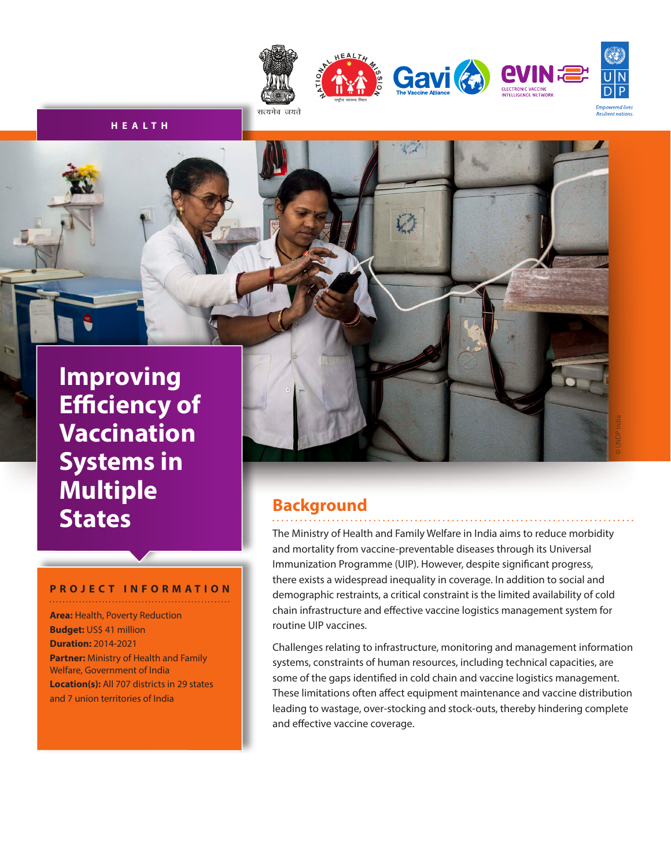

**H E A LT H**

**Improving Efficiency of Vaccination Systems in Multiple States**

#### **PROJECT INFORMATION**

**Area:** Health, Poverty Reduction **Budget:** US\$ 41 million **Duration:** 2014-2021 **Partner:** Ministry of Health and Family Welfare, Government of India **Location(s):** All 707 districts in 29 states and 7 union territories of India

## **Background**

The Ministry of Health and Family Welfare in India aims to reduce morbidity and mortality from vaccine-preventable diseases through its Universal Immunization Programme (UIP). However, despite significant progress, there exists a widespread inequality in coverage. In addition to social and demographic restraints, a critical constraint is the limited availability of cold chain infrastructure and effective vaccine logistics management system for routine UIP vaccines.

Challenges relating to infrastructure, monitoring and management information systems, constraints of human resources, including technical capacities, are some of the gaps identified in cold chain and vaccine logistics management. These limitations often affect equipment maintenance and vaccine distribution leading to wastage, over-stocking and stock-outs, thereby hindering complete and effective vaccine coverage.